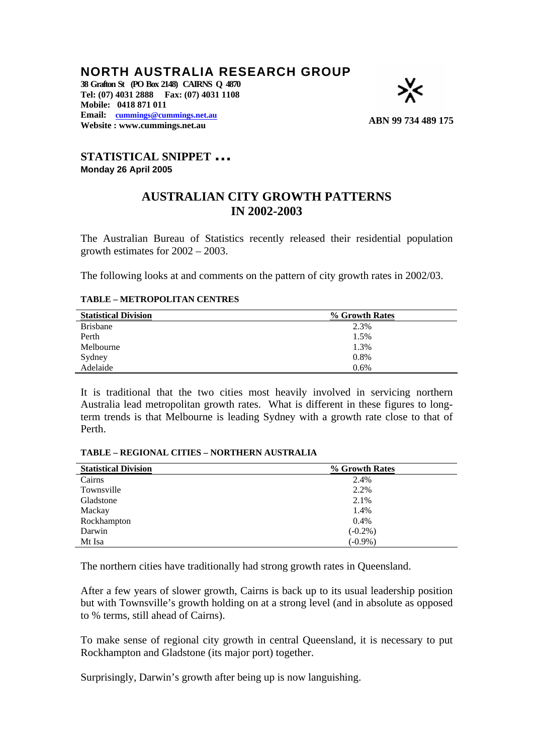## **NORTH AUSTRALIA RESEARCH GROUP**

**38 Grafton St (PO Box 2148) CAIRNS Q 4870 Tel: (07) 4031 2888 Fax: (07) 4031 1108 Mobile: 0418 871 011 Email: [cummings@cummings.net.au](mailto:wscers@internetnorth.com.au) Eman. <u>Commings Commings.net.au</u> <b>ABN** 99 734 489 175



# **STATISTICAL SNIPPET … Monday 26 April 2005**

### **AUSTRALIAN CITY GROWTH PATTERNS IN 2002-2003**

The Australian Bureau of Statistics recently released their residential population growth estimates for 2002 – 2003.

The following looks at and comments on the pattern of city growth rates in 2002/03.

#### **TABLE – METROPOLITAN CENTRES**

| <b>Statistical Division</b> | % Growth Rates |
|-----------------------------|----------------|
| <b>Brisbane</b>             | 2.3%           |
| Perth                       | 1.5%           |
| Melbourne                   | 1.3%           |
| Sydney                      | 0.8%           |
| Adelaide                    | 0.6%           |

It is traditional that the two cities most heavily involved in servicing northern Australia lead metropolitan growth rates. What is different in these figures to longterm trends is that Melbourne is leading Sydney with a growth rate close to that of Perth.

#### **TABLE – REGIONAL CITIES – NORTHERN AUSTRALIA**

| <b>Statistical Division</b> | % Growth Rates |
|-----------------------------|----------------|
| Cairns                      | 2.4%           |
| Townsville                  | 2.2%           |
| Gladstone                   | 2.1%           |
| Mackay                      | 1.4%           |
| Rockhampton                 | 0.4%           |
| Darwin                      | $(-0.2\%)$     |
| Mt Isa                      | $(-0.9\%)$     |

The northern cities have traditionally had strong growth rates in Queensland.

After a few years of slower growth, Cairns is back up to its usual leadership position but with Townsville's growth holding on at a strong level (and in absolute as opposed to % terms, still ahead of Cairns).

To make sense of regional city growth in central Queensland, it is necessary to put Rockhampton and Gladstone (its major port) together.

Surprisingly, Darwin's growth after being up is now languishing.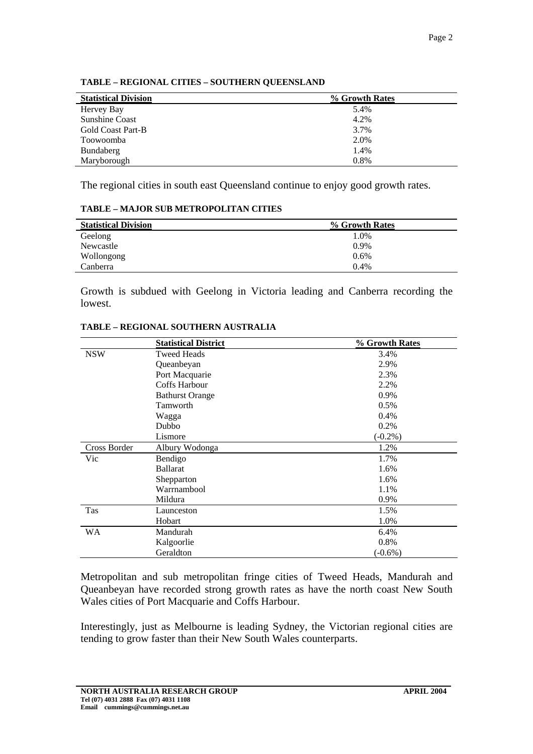| <b>Statistical Division</b> | % Growth Rates |
|-----------------------------|----------------|
| Hervey Bay                  | 5.4%           |
| <b>Sunshine Coast</b>       | 4.2%           |
| <b>Gold Coast Part-B</b>    | 3.7%           |
| Toowoomba                   | 2.0%           |
| Bundaberg                   | 1.4%           |
| Maryborough                 | 0.8%           |

#### **TABLE – REGIONAL CITIES – SOUTHERN QUEENSLAND**

The regional cities in south east Queensland continue to enjoy good growth rates.

#### **TABLE – MAJOR SUB METROPOLITAN CITIES**

| <b>Statistical Division</b> | % Growth Rates |
|-----------------------------|----------------|
| Geelong                     | 1.0%           |
| Newcastle                   | $0.9\%$        |
| Wollongong                  | $0.6\%$        |
| Canberra                    | 0.4%           |

Growth is subdued with Geelong in Victoria leading and Canberra recording the lowest.

|              | <b>Statistical District</b> | % Growth Rates |
|--------------|-----------------------------|----------------|
| <b>NSW</b>   | <b>Tweed Heads</b>          | 3.4%           |
|              | Queanbeyan                  | 2.9%           |
|              | Port Macquarie              | 2.3%           |
|              | Coffs Harbour               | 2.2%           |
|              | <b>Bathurst Orange</b>      | 0.9%           |
|              | Tamworth                    | 0.5%           |
|              | Wagga                       | 0.4%           |
|              | Dubbo                       | 0.2%           |
|              | Lismore                     | $(-0.2\%)$     |
| Cross Border | Albury Wodonga              | 1.2%           |
| Vic          | Bendigo                     | 1.7%           |
|              | <b>Ballarat</b>             | 1.6%           |
|              | Shepparton                  | 1.6%           |
|              | Warrnambool                 | 1.1%           |
|              | Mildura                     | 0.9%           |
| <b>Tas</b>   | Launceston                  | 1.5%           |
|              | Hobart                      | 1.0%           |
| <b>WA</b>    | Mandurah                    | 6.4%           |
|              | Kalgoorlie                  | 0.8%           |
|              | Geraldton                   | $(-0.6\%)$     |
|              |                             |                |

#### **TABLE – REGIONAL SOUTHERN AUSTRALIA**

Metropolitan and sub metropolitan fringe cities of Tweed Heads, Mandurah and Queanbeyan have recorded strong growth rates as have the north coast New South Wales cities of Port Macquarie and Coffs Harbour.

Interestingly, just as Melbourne is leading Sydney, the Victorian regional cities are tending to grow faster than their New South Wales counterparts.